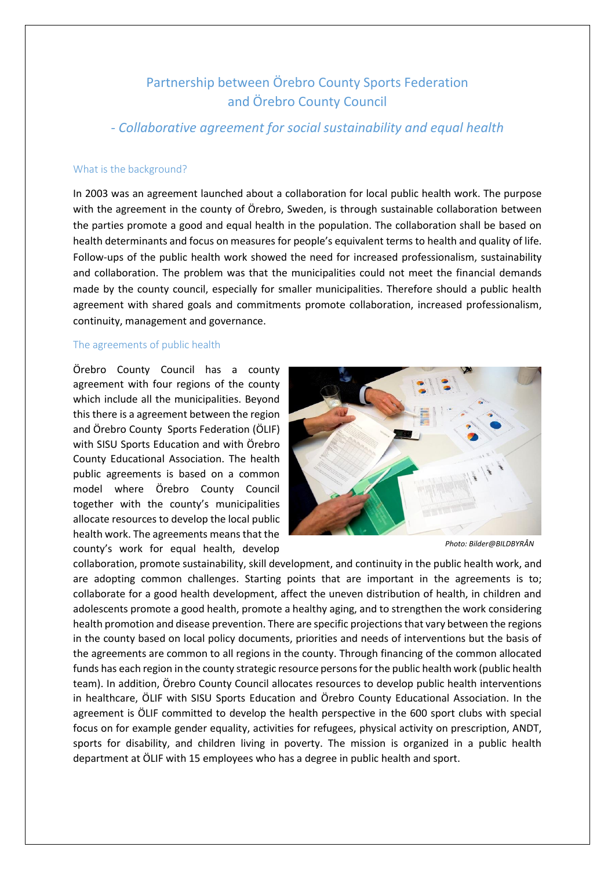# Partnership between Örebro County Sports Federation and Örebro County Council

*- Collaborative agreement for social sustainability and equal health*

## What is the background?

In 2003 was an agreement launched about a collaboration for local public health work. The purpose with the agreement in the county of Örebro, Sweden, is through sustainable collaboration between the parties promote a good and equal health in the population. The collaboration shall be based on health determinants and focus on measures for people's equivalent terms to health and quality of life. Follow-ups of the public health work showed the need for increased professionalism, sustainability and collaboration. The problem was that the municipalities could not meet the financial demands made by the county council, especially for smaller municipalities. Therefore should a public health agreement with shared goals and commitments promote collaboration, increased professionalism, continuity, management and governance.

## The agreements of public health

Örebro County Council has a county agreement with four regions of the county which include all the municipalities. Beyond this there is a agreement between the region and Örebro County Sports Federation (ÖLIF) with SISU Sports Education and with Örebro County Educational Association. The health public agreements is based on a common model where Örebro County Council together with the county's municipalities allocate resources to develop the local public health work. The agreements means that the county's work for equal health, develop



*Photo: Bilder@BILDBYRÅN*

collaboration, promote sustainability, skill development, and continuity in the public health work, and are adopting common challenges. Starting points that are important in the agreements is to; collaborate for a good health development, affect the uneven distribution of health, in children and adolescents promote a good health, promote a healthy aging, and to strengthen the work considering health promotion and disease prevention. There are specific projections that vary between the regions in the county based on local policy documents, priorities and needs of interventions but the basis of the agreements are common to all regions in the county. Through financing of the common allocated funds has each region in the county strategic resource persons for the public health work (public health team). In addition, Örebro County Council allocates resources to develop public health interventions in healthcare, ÖLIF with SISU Sports Education and Örebro County Educational Association. In the agreement is ÖLIF committed to develop the health perspective in the 600 sport clubs with special focus on for example gender equality, activities for refugees, physical activity on prescription, ANDT, sports for disability, and children living in poverty. The mission is organized in a public health department at ÖLIF with 15 employees who has a degree in public health and sport.